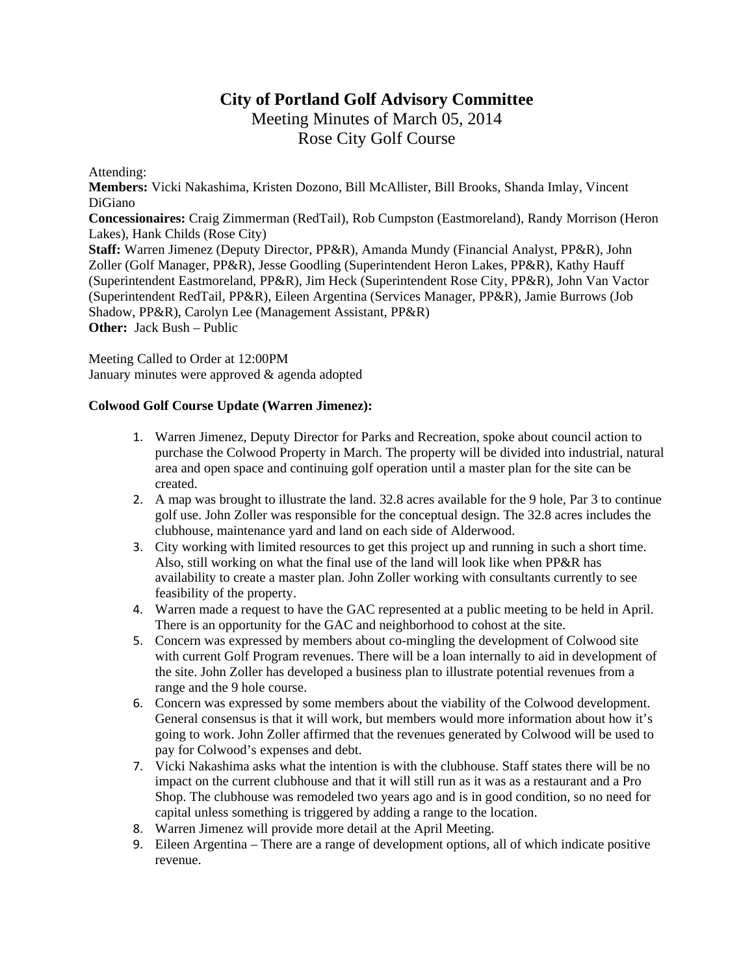# **City of Portland Golf Advisory Committee**

Meeting Minutes of March 05, 2014 Rose City Golf Course

Attending:

**Members:** Vicki Nakashima, Kristen Dozono, Bill McAllister, Bill Brooks, Shanda Imlay, Vincent DiGiano

**Concessionaires:** Craig Zimmerman (RedTail), Rob Cumpston (Eastmoreland), Randy Morrison (Heron Lakes), Hank Childs (Rose City)

**Staff:** Warren Jimenez (Deputy Director, PP&R), Amanda Mundy (Financial Analyst, PP&R), John Zoller (Golf Manager, PP&R), Jesse Goodling (Superintendent Heron Lakes, PP&R), Kathy Hauff (Superintendent Eastmoreland, PP&R), Jim Heck (Superintendent Rose City, PP&R), John Van Vactor (Superintendent RedTail, PP&R), Eileen Argentina (Services Manager, PP&R), Jamie Burrows (Job Shadow, PP&R), Carolyn Lee (Management Assistant, PP&R) **Other:** Jack Bush – Public

Meeting Called to Order at 12:00PM January minutes were approved & agenda adopted

## **Colwood Golf Course Update (Warren Jimenez):**

- 1. Warren Jimenez, Deputy Director for Parks and Recreation, spoke about council action to purchase the Colwood Property in March. The property will be divided into industrial, natural area and open space and continuing golf operation until a master plan for the site can be created.
- 2. A map was brought to illustrate the land. 32.8 acres available for the 9 hole, Par 3 to continue golf use. John Zoller was responsible for the conceptual design. The 32.8 acres includes the clubhouse, maintenance yard and land on each side of Alderwood.
- 3. City working with limited resources to get this project up and running in such a short time. Also, still working on what the final use of the land will look like when PP&R has availability to create a master plan. John Zoller working with consultants currently to see feasibility of the property.
- 4. Warren made a request to have the GAC represented at a public meeting to be held in April. There is an opportunity for the GAC and neighborhood to cohost at the site.
- 5. Concern was expressed by members about co-mingling the development of Colwood site with current Golf Program revenues. There will be a loan internally to aid in development of the site. John Zoller has developed a business plan to illustrate potential revenues from a range and the 9 hole course.
- 6. Concern was expressed by some members about the viability of the Colwood development. General consensus is that it will work, but members would more information about how it's going to work. John Zoller affirmed that the revenues generated by Colwood will be used to pay for Colwood's expenses and debt.
- 7. Vicki Nakashima asks what the intention is with the clubhouse. Staff states there will be no impact on the current clubhouse and that it will still run as it was as a restaurant and a Pro Shop. The clubhouse was remodeled two years ago and is in good condition, so no need for capital unless something is triggered by adding a range to the location.
- 8. Warren Jimenez will provide more detail at the April Meeting.
- 9. Eileen Argentina There are a range of development options, all of which indicate positive revenue.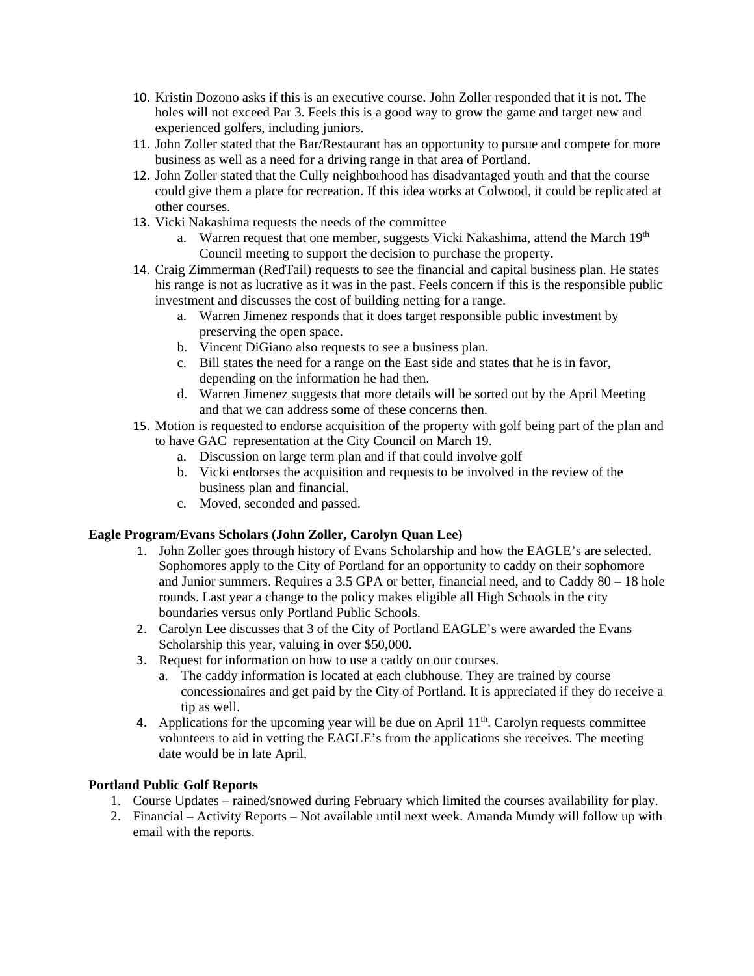- 10. Kristin Dozono asks if this is an executive course. John Zoller responded that it is not. The holes will not exceed Par 3. Feels this is a good way to grow the game and target new and experienced golfers, including juniors.
- 11. John Zoller stated that the Bar/Restaurant has an opportunity to pursue and compete for more business as well as a need for a driving range in that area of Portland.
- 12. John Zoller stated that the Cully neighborhood has disadvantaged youth and that the course could give them a place for recreation. If this idea works at Colwood, it could be replicated at other courses.
- 13. Vicki Nakashima requests the needs of the committee
	- a. Warren request that one member, suggests Vicki Nakashima, attend the March 19<sup>th</sup> Council meeting to support the decision to purchase the property.
- 14. Craig Zimmerman (RedTail) requests to see the financial and capital business plan. He states his range is not as lucrative as it was in the past. Feels concern if this is the responsible public investment and discusses the cost of building netting for a range.
	- a. Warren Jimenez responds that it does target responsible public investment by preserving the open space.
	- b. Vincent DiGiano also requests to see a business plan.
	- c. Bill states the need for a range on the East side and states that he is in favor, depending on the information he had then.
	- d. Warren Jimenez suggests that more details will be sorted out by the April Meeting and that we can address some of these concerns then.
- 15. Motion is requested to endorse acquisition of the property with golf being part of the plan and to have GAC representation at the City Council on March 19.
	- a. Discussion on large term plan and if that could involve golf
	- b. Vicki endorses the acquisition and requests to be involved in the review of the business plan and financial.
	- c. Moved, seconded and passed.

## **Eagle Program/Evans Scholars (John Zoller, Carolyn Quan Lee)**

- 1. John Zoller goes through history of Evans Scholarship and how the EAGLE's are selected. Sophomores apply to the City of Portland for an opportunity to caddy on their sophomore and Junior summers. Requires a 3.5 GPA or better, financial need, and to Caddy 80 – 18 hole rounds. Last year a change to the policy makes eligible all High Schools in the city boundaries versus only Portland Public Schools.
- 2. Carolyn Lee discusses that 3 of the City of Portland EAGLE's were awarded the Evans Scholarship this year, valuing in over \$50,000.
- 3. Request for information on how to use a caddy on our courses.
	- a. The caddy information is located at each clubhouse. They are trained by course concessionaires and get paid by the City of Portland. It is appreciated if they do receive a tip as well.
- 4. Applications for the upcoming year will be due on April  $11<sup>th</sup>$ . Carolyn requests committee volunteers to aid in vetting the EAGLE's from the applications she receives. The meeting date would be in late April.

## **Portland Public Golf Reports**

- 1. Course Updates rained/snowed during February which limited the courses availability for play.
- 2. Financial Activity Reports Not available until next week. Amanda Mundy will follow up with email with the reports.